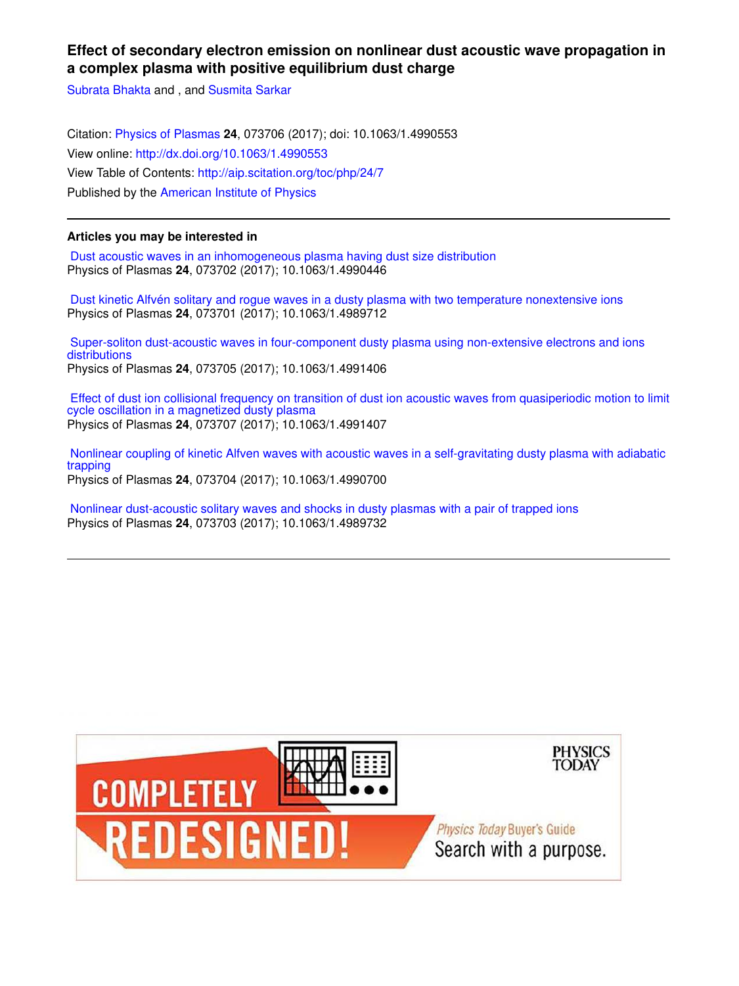# **Effect of secondary electron emission on nonlinear dust acoustic wave propagation in a complex plasma with positive equilibrium dust charge**

Subrata Bhakta and , and Susmita Sarkar

Citation: Physics of Plasmas **24**, 073706 (2017); doi: 10.1063/1.4990553 View online: http://dx.doi.org/10.1063/1.4990553 View Table of Contents: http://aip.scitation.org/toc/php/24/7 Published by the American Institute of Physics

## **Articles you may be interested in**

 Dust acoustic waves in an inhomogeneous plasma having dust size distribution Physics of Plasmas **24**, 073702 (2017); 10.1063/1.4990446

 Dust kinetic Alfvén solitary and rogue waves in a dusty plasma with two temperature nonextensive ions Physics of Plasmas **24**, 073701 (2017); 10.1063/1.4989712

 Super-soliton dust-acoustic waves in four-component dusty plasma using non-extensive electrons and ions **distributions** Physics of Plasmas **24**, 073705 (2017); 10.1063/1.4991406

 Effect of dust ion collisional frequency on transition of dust ion acoustic waves from quasiperiodic motion to limit cycle oscillation in a magnetized dusty plasma Physics of Plasmas **24**, 073707 (2017); 10.1063/1.4991407

 Nonlinear coupling of kinetic Alfven waves with acoustic waves in a self-gravitating dusty plasma with adiabatic trapping Physics of Plasmas **24**, 073704 (2017); 10.1063/1.4990700

 Nonlinear dust-acoustic solitary waves and shocks in dusty plasmas with a pair of trapped ions Physics of Plasmas **24**, 073703 (2017); 10.1063/1.4989732

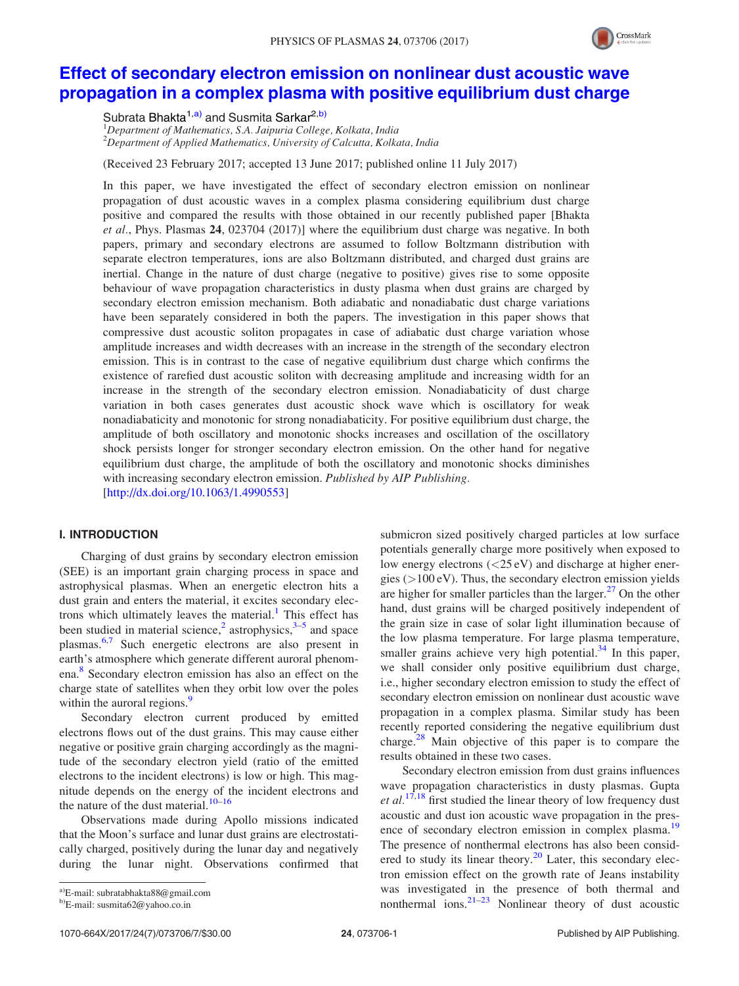

# Effect of secondary electron emission on nonlinear dust acoustic wave propagation in a complex plasma with positive equilibrium dust charge

Subrata Bhakta<sup>1,a)</sup> and Susmita Sarkar<sup>2,b)</sup>

 $1$ Department of Mathematics, S.A. Jaipuria College, Kolkata, India  $2D$ epartment of Applied Mathematics, University of Calcutta, Kolkata, India

(Received 23 February 2017; accepted 13 June 2017; published online 11 July 2017)

In this paper, we have investigated the effect of secondary electron emission on nonlinear propagation of dust acoustic waves in a complex plasma considering equilibrium dust charge positive and compared the results with those obtained in our recently published paper [Bhakta et al., Phys. Plasmas 24, 023704 (2017)] where the equilibrium dust charge was negative. In both papers, primary and secondary electrons are assumed to follow Boltzmann distribution with separate electron temperatures, ions are also Boltzmann distributed, and charged dust grains are inertial. Change in the nature of dust charge (negative to positive) gives rise to some opposite behaviour of wave propagation characteristics in dusty plasma when dust grains are charged by secondary electron emission mechanism. Both adiabatic and nonadiabatic dust charge variations have been separately considered in both the papers. The investigation in this paper shows that compressive dust acoustic soliton propagates in case of adiabatic dust charge variation whose amplitude increases and width decreases with an increase in the strength of the secondary electron emission. This is in contrast to the case of negative equilibrium dust charge which confirms the existence of rarefied dust acoustic soliton with decreasing amplitude and increasing width for an increase in the strength of the secondary electron emission. Nonadiabaticity of dust charge variation in both cases generates dust acoustic shock wave which is oscillatory for weak nonadiabaticity and monotonic for strong nonadiabaticity. For positive equilibrium dust charge, the amplitude of both oscillatory and monotonic shocks increases and oscillation of the oscillatory shock persists longer for stronger secondary electron emission. On the other hand for negative equilibrium dust charge, the amplitude of both the oscillatory and monotonic shocks diminishes with increasing secondary electron emission. Published by AIP Publishing.

[http://dx.doi.org/10.1063/1.4990553]

### I. INTRODUCTION

Charging of dust grains by secondary electron emission (SEE) is an important grain charging process in space and astrophysical plasmas. When an energetic electron hits a dust grain and enters the material, it excites secondary electrons which ultimately leaves the material.<sup>1</sup> This effect has been studied in material science,<sup>2</sup> astrophysics, $3-5$  and space plasmas.6,7 Such energetic electrons are also present in earth's atmosphere which generate different auroral phenomena.<sup>8</sup> Secondary electron emission has also an effect on the charge state of satellites when they orbit low over the poles within the auroral regions.<sup>9</sup>

Secondary electron current produced by emitted electrons flows out of the dust grains. This may cause either negative or positive grain charging accordingly as the magnitude of the secondary electron yield (ratio of the emitted electrons to the incident electrons) is low or high. This magnitude depends on the energy of the incident electrons and the nature of the dust material. $10-16$ 

Observations made during Apollo missions indicated that the Moon's surface and lunar dust grains are electrostatically charged, positively during the lunar day and negatively during the lunar night. Observations confirmed that submicron sized positively charged particles at low surface potentials generally charge more positively when exposed to low energy electrons (<25 eV) and discharge at higher energies  $(>100 \text{ eV})$ . Thus, the secondary electron emission yields are higher for smaller particles than the larger.<sup>27</sup> On the other hand, dust grains will be charged positively independent of the grain size in case of solar light illumination because of the low plasma temperature. For large plasma temperature, smaller grains achieve very high potential. $34$  In this paper, we shall consider only positive equilibrium dust charge, i.e., higher secondary electron emission to study the effect of secondary electron emission on nonlinear dust acoustic wave propagation in a complex plasma. Similar study has been recently reported considering the negative equilibrium dust charge. $28$  Main objective of this paper is to compare the results obtained in these two cases.

Secondary electron emission from dust grains influences wave propagation characteristics in dusty plasmas. Gupta *et al.*<sup>17,18</sup> first studied the linear theory of low frequency dust acoustic and dust ion acoustic wave propagation in the presence of secondary electron emission in complex plasma.<sup>19</sup> The presence of nonthermal electrons has also been considered to study its linear theory. $20$  Later, this secondary electron emission effect on the growth rate of Jeans instability was investigated in the presence of both thermal and nonthermal ions. $21-23$  Nonlinear theory of dust acoustic

a)E-mail: subratabhakta88@gmail.com

b)E-mail: susmita62@yahoo.co.in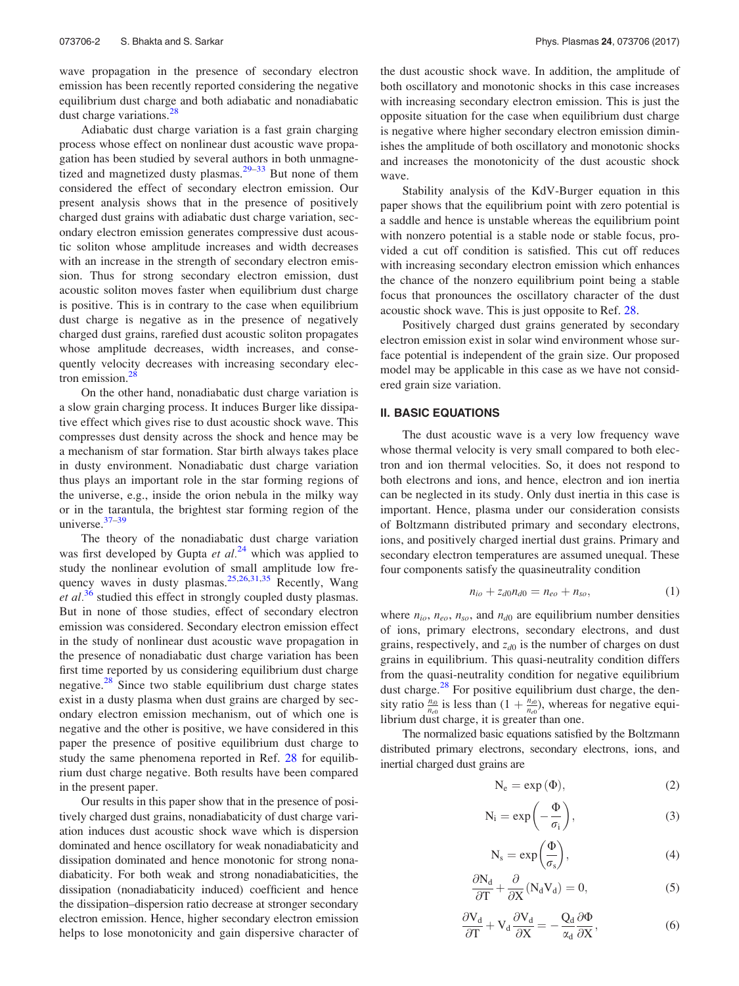wave propagation in the presence of secondary electron emission has been recently reported considering the negative equilibrium dust charge and both adiabatic and nonadiabatic dust charge variations.<sup>28</sup>

Adiabatic dust charge variation is a fast grain charging process whose effect on nonlinear dust acoustic wave propagation has been studied by several authors in both unmagnetized and magnetized dusty plasmas.<sup>29–33</sup> But none of them considered the effect of secondary electron emission. Our present analysis shows that in the presence of positively charged dust grains with adiabatic dust charge variation, secondary electron emission generates compressive dust acoustic soliton whose amplitude increases and width decreases with an increase in the strength of secondary electron emission. Thus for strong secondary electron emission, dust acoustic soliton moves faster when equilibrium dust charge is positive. This is in contrary to the case when equilibrium dust charge is negative as in the presence of negatively charged dust grains, rarefied dust acoustic soliton propagates whose amplitude decreases, width increases, and consequently velocity decreases with increasing secondary electron emission. $28$ 

On the other hand, nonadiabatic dust charge variation is a slow grain charging process. It induces Burger like dissipative effect which gives rise to dust acoustic shock wave. This compresses dust density across the shock and hence may be a mechanism of star formation. Star birth always takes place in dusty environment. Nonadiabatic dust charge variation thus plays an important role in the star forming regions of the universe, e.g., inside the orion nebula in the milky way or in the tarantula, the brightest star forming region of the universe.37–39

The theory of the nonadiabatic dust charge variation was first developed by Gupta et  $al^{24}$  which was applied to study the nonlinear evolution of small amplitude low frequency waves in dusty plasmas.<sup>25,26,31,35</sup> Recently, Wang et  $al^{36}$  studied this effect in strongly coupled dusty plasmas. But in none of those studies, effect of secondary electron emission was considered. Secondary electron emission effect in the study of nonlinear dust acoustic wave propagation in the presence of nonadiabatic dust charge variation has been first time reported by us considering equilibrium dust charge negative.<sup>28</sup> Since two stable equilibrium dust charge states exist in a dusty plasma when dust grains are charged by secondary electron emission mechanism, out of which one is negative and the other is positive, we have considered in this paper the presence of positive equilibrium dust charge to study the same phenomena reported in Ref. 28 for equilibrium dust charge negative. Both results have been compared in the present paper.

Our results in this paper show that in the presence of positively charged dust grains, nonadiabaticity of dust charge variation induces dust acoustic shock wave which is dispersion dominated and hence oscillatory for weak nonadiabaticity and dissipation dominated and hence monotonic for strong nonadiabaticity. For both weak and strong nonadiabaticities, the dissipation (nonadiabaticity induced) coefficient and hence the dissipation–dispersion ratio decrease at stronger secondary electron emission. Hence, higher secondary electron emission helps to lose monotonicity and gain dispersive character of the dust acoustic shock wave. In addition, the amplitude of both oscillatory and monotonic shocks in this case increases with increasing secondary electron emission. This is just the opposite situation for the case when equilibrium dust charge is negative where higher secondary electron emission diminishes the amplitude of both oscillatory and monotonic shocks and increases the monotonicity of the dust acoustic shock wave.

Stability analysis of the KdV-Burger equation in this paper shows that the equilibrium point with zero potential is a saddle and hence is unstable whereas the equilibrium point with nonzero potential is a stable node or stable focus, provided a cut off condition is satisfied. This cut off reduces with increasing secondary electron emission which enhances the chance of the nonzero equilibrium point being a stable focus that pronounces the oscillatory character of the dust acoustic shock wave. This is just opposite to Ref. 28.

Positively charged dust grains generated by secondary electron emission exist in solar wind environment whose surface potential is independent of the grain size. Our proposed model may be applicable in this case as we have not considered grain size variation.

#### II. BASIC EQUATIONS

The dust acoustic wave is a very low frequency wave whose thermal velocity is very small compared to both electron and ion thermal velocities. So, it does not respond to both electrons and ions, and hence, electron and ion inertia can be neglected in its study. Only dust inertia in this case is important. Hence, plasma under our consideration consists of Boltzmann distributed primary and secondary electrons, ions, and positively charged inertial dust grains. Primary and secondary electron temperatures are assumed unequal. These four components satisfy the quasineutrality condition

$$
n_{io} + z_{d0}n_{d0} = n_{eo} + n_{so}, \t\t(1)
$$

where  $n_{io}$ ,  $n_{eo}$ ,  $n_{so}$ , and  $n_{d0}$  are equilibrium number densities of ions, primary electrons, secondary electrons, and dust grains, respectively, and  $z_{d0}$  is the number of charges on dust grains in equilibrium. This quasi-neutrality condition differs from the quasi-neutrality condition for negative equilibrium dust charge.<sup>28</sup> For positive equilibrium dust charge, the density ratio  $\frac{n_{i0}}{n_{e0}}$  is less than  $(1 + \frac{n_{s0}}{n_{e0}})$ , whereas for negative equilibrium dust charge, it is greater than one.

The normalized basic equations satisfied by the Boltzmann distributed primary electrons, secondary electrons, ions, and inertial charged dust grains are

$$
N_e = \exp{(\Phi)}, \tag{2}
$$

$$
N_i = \exp\left(-\frac{\Phi}{\sigma_i}\right),\tag{3}
$$

$$
N_s = \exp\left(\frac{\Phi}{\sigma_s}\right),\tag{4}
$$

$$
\frac{\partial N_d}{\partial T} + \frac{\partial}{\partial X} (N_d V_d) = 0, \tag{5}
$$

$$
\frac{\partial V_d}{\partial T} + V_d \frac{\partial V_d}{\partial X} = -\frac{Q_d}{\alpha_d} \frac{\partial \Phi}{\partial X},\tag{6}
$$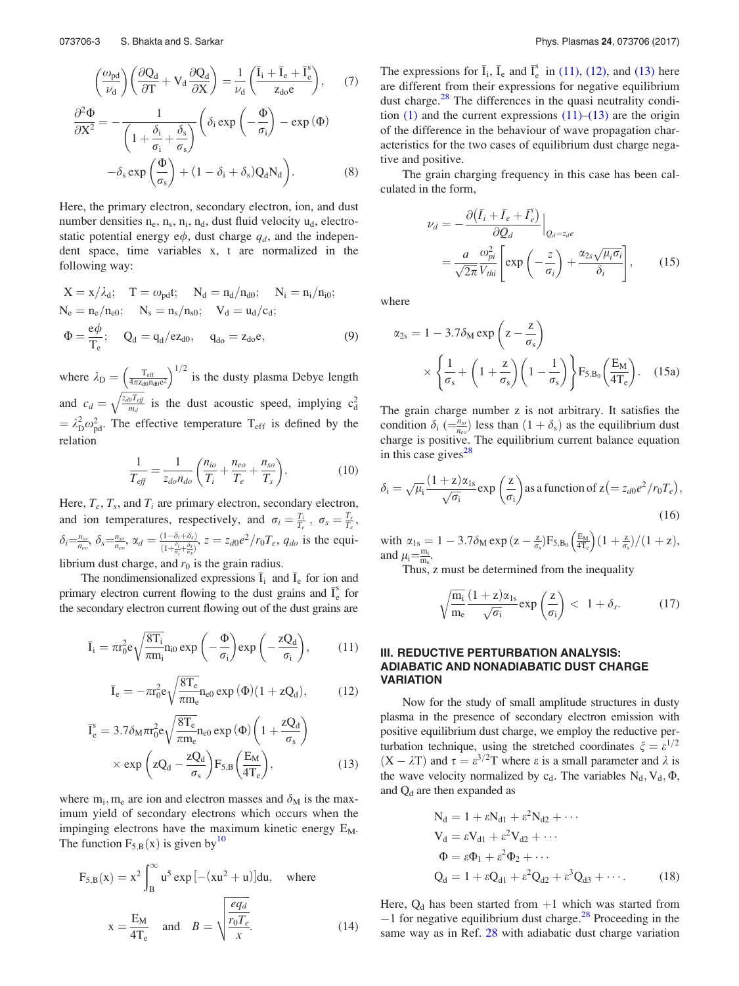$$
\left(\frac{\omega_{\text{pd}}}{\nu_d}\right) \left(\frac{\partial Q_d}{\partial T} + V_d \frac{\partial Q_d}{\partial X}\right) = \frac{1}{\nu_d} \left(\frac{\bar{I}_i + \bar{I}_e + \bar{I}_e^s}{z_{d0}e}\right),\tag{7}
$$

$$
\frac{\partial^2 \Phi}{\partial X^2} = -\frac{1}{\left(1 + \frac{\delta_i}{\sigma_i} + \frac{\delta_s}{\sigma_s}\right)} \left(\delta_i \exp\left(-\frac{\Phi}{\sigma_i}\right) - \exp(\Phi)\right)
$$

$$
-\delta_s \exp\left(\frac{\Phi}{\sigma_s}\right) + (1 - \delta_i + \delta_s) Q_d N_d \right). \tag{8}
$$

Here, the primary electron, secondary electron, ion, and dust number densities  $n_e$ ,  $n_s$ ,  $n_i$ ,  $n_d$ , dust fluid velocity  $u_d$ , electrostatic potential energy  $e\phi$ , dust charge  $q_d$ , and the independent space, time variables x, t are normalized in the following way:

$$
X = x/\lambda_d; \quad T = \omega_{pd}t; \quad N_d = n_d/n_{d0}; \quad N_i = n_i/n_{i0};
$$
  
\n
$$
N_e = n_e/n_{e0}; \quad N_s = n_s/n_{s0}; \quad V_d = u_d/c_d;
$$
  
\n
$$
\Phi = \frac{e\phi}{T_e}; \quad Q_d = q_d/ez_{d0}, \quad q_{do} = z_{do}e,
$$
  
\n(9)

where  $\lambda_{\rm D} = \left(\frac{T_{\rm eff}}{4\pi z_{\rm d0}n_{\rm d0}e^2}\right)^{1/2}$  is the dusty plasma Debye length and  $c_d = \sqrt{\frac{z_{d0}T_{eff}}{m_d}}$  $\sqrt{\frac{z_{d0}T_{eff}}{m_d}}$  is the dust acoustic speed, implying  $c_d^2$  $= \lambda_{\rm D}^2 \omega_{\rm pd}^2$ . The effective temperature T<sub>eff</sub> is defined by the relation

$$
\frac{1}{T_{\text{eff}}} = \frac{1}{z_{do} n_{do}} \left( \frac{n_{io}}{T_i} + \frac{n_{eo}}{T_e} + \frac{n_{so}}{T_s} \right). \tag{10}
$$

Here,  $T_e$ ,  $T_s$ , and  $T_i$  are primary electron, secondary electron, and ion temperatures, respectively, and  $\sigma_i = \frac{T_i}{T_e}$ ,  $\sigma_s = \frac{T_s}{T_e}$ ,  $\delta_i = \frac{n_{io}}{n_{eo}}, \ \delta_s = \frac{n_{so}}{n_{eo}}, \ \alpha_d = \frac{(1-\delta_i+\delta_s)}{(1+\frac{\delta_i}{\delta_i}+\frac{\delta_s}{\delta_i})}$  $\frac{(1-\delta_i+\delta_s)}{(1+\frac{\delta_i}{\sigma_i}+\frac{\delta_s}{\sigma_s})}$ ,  $z=z_{d0}e^2/r_0T_e$ ,  $q_{do}$  is the equilibrium dust charge, and  $r_0$  is the grain radius.

The nondimensionalized expressions  $\bar{I}_i$  and  $\bar{I}_e$  for ion and primary electron current flowing to the dust grains and  $\bar{I}_e^s$ e for the secondary electron current flowing out of the dust grains are

$$
\bar{I}_i = \pi r_0^2 e \sqrt{\frac{8T_i}{\pi m_i}} n_{i0} \exp\left(-\frac{\Phi}{\sigma_i}\right) \exp\left(-\frac{zQ_d}{\sigma_i}\right),\tag{11}
$$

$$
\overline{I}_e = -\pi r_0^2 e \sqrt{\frac{8T_e}{\pi m_e}} n_{e0} \exp{(\Phi)} (1 + zQ_d),\tag{12}
$$

$$
\overline{I}_{e}^{s} = 3.7 \delta_{M} \pi r_{0}^{2} e \sqrt{\frac{8T_{e}}{\pi m_{e}}} n_{e0} \exp (\Phi) \left( 1 + \frac{zQ_{d}}{\sigma_{s}} \right)
$$

$$
\times \exp \left( zQ_{d} - \frac{zQ_{d}}{\sigma_{s}} \right) F_{5,B} \left( \frac{E_{M}}{4T_{e}} \right), \tag{13}
$$

where  $m_i$ ,  $m_e$  are ion and electron masses and  $\delta_M$  is the maximum yield of secondary electrons which occurs when the impinging electrons have the maximum kinetic energy  $E_M$ . The function  $F_{5,B}(x)$  is given by<sup>10</sup>

$$
F_{5,B}(x) = x^2 \int_B^{\infty} u^5 \exp[-(xu^2 + u)]du, \text{ where}
$$

$$
x = \frac{E_M}{4T_e} \text{ and } B = \sqrt{\frac{eq_d}{r_0T_e}}.
$$
(14)

The expressions for  $\bar{I}_i$ ,  $\bar{I}_e$  and  $\bar{I}_e^s$  $\frac{s}{e}$  in (11), (12), and (13) here are different from their expressions for negative equilibrium dust charge.<sup>28</sup> The differences in the quasi neutrality condition  $(1)$  and the current expressions  $(11)$ – $(13)$  are the origin of the difference in the behaviour of wave propagation characteristics for the two cases of equilibrium dust charge negative and positive.

The grain charging frequency in this case has been calculated in the form,

$$
\nu_d = -\frac{\partial (\bar{I}_i + \bar{I}_e + \bar{I}_e^s)}{\partial Q_d} \Big|_{Q_d = z_d e}
$$
  
= 
$$
\frac{a}{\sqrt{2\pi}} \frac{\omega_{pi}^2}{V_{thi}} \Bigg[ \exp\left(-\frac{z}{\sigma_i}\right) + \frac{\alpha_{2s}\sqrt{\mu_i \sigma_i}}{\delta_i} \Bigg],
$$
(15)

where

$$
\alpha_{2s} = 1 - 3.7 \delta_{M} \exp\left(z - \frac{z}{\sigma_{s}}\right)
$$

$$
\times \left\{\frac{1}{\sigma_{s}} + \left(1 + \frac{z}{\sigma_{s}}\right)\left(1 - \frac{1}{\sigma_{s}}\right)\right\} F_{5,B_{0}}\left(\frac{E_{M}}{4T_{e}}\right). \quad (15a)
$$

The grain charge number z is not arbitrary. It satisfies the condition  $\delta_i$  ( $\equiv \frac{n_{io}}{n_{eo}}$ ) less than  $(1 + \delta_s)$  as the equilibrium dust charge is positive. The equilibrium current balance equation in this case gives<sup>28</sup>

$$
\delta_{\rm i} = \sqrt{\mu_{\rm i}} \frac{(1+z)\alpha_{\rm 1s}}{\sqrt{\sigma_{\rm i}}} \exp\left(\frac{z}{\sigma_{\rm i}}\right) \text{ as a function of } z \left(= z_{d0} e^2 / r_0 T_e\right),\tag{16}
$$

with  $\alpha_{1s} = 1 - 3.7\delta_M \exp{(z - \frac{z}{\sigma_s})} F_{5,B_0}\left(\frac{E_M}{4T_c}\right) (1 + \frac{z}{\sigma_s})/(1 + z),$ and  $\mu_i = \frac{m_i}{m_e}$ .

Thus, z must be determined from the inequality

$$
\sqrt{\frac{m_i}{m_e}} \frac{(1+z)\alpha_{1s}}{\sqrt{\sigma_i}} \exp\left(\frac{z}{\sigma_i}\right) < 1 + \delta_s. \tag{17}
$$

### III. REDUCTIVE PERTURBATION ANALYSIS: ADIABATIC AND NONADIABATIC DUST CHARGE **VARIATION**

Now for the study of small amplitude structures in dusty plasma in the presence of secondary electron emission with positive equilibrium dust charge, we employ the reductive perturbation technique, using the stretched coordinates  $\xi = \varepsilon^{1/2}$  $(X - \lambda T)$  and  $\tau = \varepsilon^{3/2}T$  where  $\varepsilon$  is a small parameter and  $\lambda$  is the wave velocity normalized by  $c_d$ . The variables  $N_d$ ,  $V_d$ ,  $\Phi$ , and  $Q_d$  are then expanded as

$$
N_{d} = 1 + \varepsilon N_{d1} + \varepsilon^{2} N_{d2} + \cdots
$$
  
\n
$$
V_{d} = \varepsilon V_{d1} + \varepsilon^{2} V_{d2} + \cdots
$$
  
\n
$$
\Phi = \varepsilon \Phi_{1} + \varepsilon^{2} \Phi_{2} + \cdots
$$
  
\n
$$
Q_{d} = 1 + \varepsilon Q_{d1} + \varepsilon^{2} Q_{d2} + \varepsilon^{3} Q_{d3} + \cdots
$$
 (18)

Here,  $Q_d$  has been started from  $+1$  which was started from  $-1$  for negative equilibrium dust charge.<sup>28</sup> Proceeding in the same way as in Ref. 28 with adiabatic dust charge variation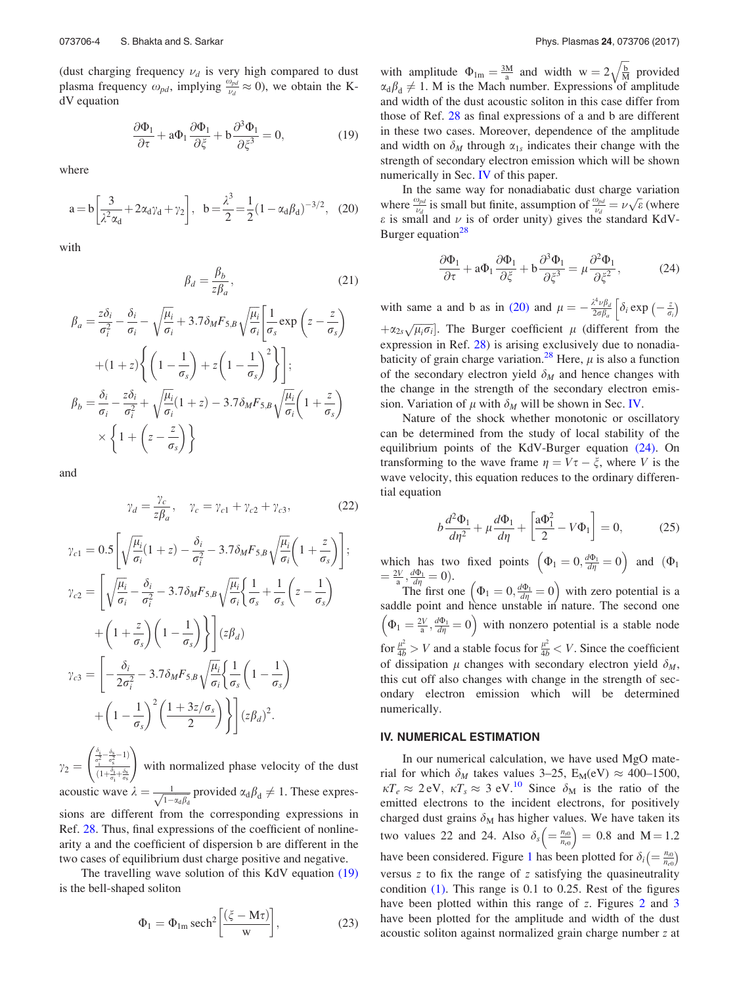(dust charging frequency  $\nu_d$  is very high compared to dust plasma frequency  $\omega_{pd}$ , implying  $\frac{\omega_{pd}}{\nu_d} \approx 0$ ), we obtain the KdV equation

$$
\frac{\partial \Phi_1}{\partial \tau} + a \Phi_1 \frac{\partial \Phi_1}{\partial \xi} + b \frac{\partial^3 \Phi_1}{\partial \xi^3} = 0, \tag{19}
$$

where

$$
a = b \left[ \frac{3}{\lambda^2 \alpha_d} + 2 \alpha_d \gamma_d + \gamma_2 \right], \quad b = \frac{\lambda^3}{2} = \frac{1}{2} (1 - \alpha_d \beta_d)^{-3/2}, \quad (20)
$$

with

$$
\beta_d = \frac{\beta_b}{z\beta_a},\tag{21}
$$

$$
\beta_a = \frac{z\delta_i}{\sigma_i^2} - \frac{\delta_i}{\sigma_i} - \sqrt{\frac{\mu_i}{\sigma_i}} + 3.7\delta_M F_{5,B} \sqrt{\frac{\mu_i}{\sigma_i}} \left[ \frac{1}{\sigma_s} \exp\left(z - \frac{z}{\sigma_s}\right) + (1+z) \left\{ \left(1 - \frac{1}{\sigma_s}\right) + z \left(1 - \frac{1}{\sigma_s}\right)^2 \right\} \right];
$$
\n
$$
\beta_b = \frac{\delta_i}{\sigma_i} - \frac{z\delta_i}{\sigma_i^2} + \sqrt{\frac{\mu_i}{\sigma_i}} (1+z) - 3.7\delta_M F_{5,B} \sqrt{\frac{\mu_i}{\sigma_i}} \left(1 + \frac{z}{\sigma_s}\right)
$$
\n
$$
\times \left\{ 1 + \left(z - \frac{z}{\sigma_s}\right) \right\}
$$

and

$$
\gamma_d = \frac{\gamma_c}{z\beta_a}, \quad \gamma_c = \gamma_{c1} + \gamma_{c2} + \gamma_{c3}, \tag{22}
$$
\n
$$
\gamma_{c1} = 0.5 \left[ \sqrt{\frac{\mu_i}{\sigma_i}} (1+z) - \frac{\delta_i}{\sigma_i^2} - 3.7 \delta_M F_{5,B} \sqrt{\frac{\mu_i}{\sigma_i}} \left( 1 + \frac{z}{\sigma_s} \right) \right];
$$
\n
$$
\gamma_{c2} = \left[ \sqrt{\frac{\mu_i}{\sigma_i}} - \frac{\delta_i}{\sigma_i^2} - 3.7 \delta_M F_{5,B} \sqrt{\frac{\mu_i}{\sigma_i}} \left\{ \frac{1}{\sigma_s} + \frac{1}{\sigma_s} \left( z - \frac{1}{\sigma_s} \right) \right.\right.
$$
\n
$$
+ \left( 1 + \frac{z}{\sigma_s} \right) \left( 1 - \frac{1}{\sigma_s} \right) \right] \left( z\beta_d \right)
$$
\n
$$
\gamma_{c3} = \left[ -\frac{\delta_i}{2\sigma_i^2} - 3.7 \delta_M F_{5,B} \sqrt{\frac{\mu_i}{\sigma_i}} \left\{ \frac{1}{\sigma_s} \left( 1 - \frac{1}{\sigma_s} \right) \right.\right.
$$
\n
$$
+ \left( 1 - \frac{1}{\sigma_s} \right)^2 \left( \frac{1 + 3z/\sigma_s}{2} \right) \right] \left( z\beta_d \right)^2.
$$
\n(22)

 $\gamma_2 =$  $\frac{\delta_{\rm i}}{\sigma_{\rm i}^2} - \frac{\delta_{\rm s}}{\sigma_{\rm s}^2} - 1$  $(1+\frac{\delta_{\rm i}}{\sigma_{\rm i}}+\frac{\delta_{\rm S}}{\sigma_{\rm S}})$  $\left(\frac{\delta_{\rm i}}{2} - \frac{\delta_{\rm s}}{2} - 1\right)$ with normalized phase velocity of the dust acoustic wave  $\lambda = \frac{1}{\sqrt{1 - \alpha_d \beta_d}}$  provided  $\alpha_d \beta_d \neq 1$ . These expressions are different from the corresponding expressions in Ref. 28. Thus, final expressions of the coefficient of nonlinearity a and the coefficient of dispersion b are different in the two cases of equilibrium dust charge positive and negative.

The travelling wave solution of this KdV equation (19) is the bell-shaped soliton

$$
\Phi_1 = \Phi_{1m} \operatorname{sech}^2 \left[ \frac{(\xi - M\tau)}{w} \right],\tag{23}
$$

with amplitude  $\Phi_{lm} = \frac{3M}{a}$  and width  $w = 2\sqrt{\frac{b}{M}}$  provided  $\alpha_d \beta_d \neq 1$ . M is the Mach number. Expressions of amplitude and width of the dust acoustic soliton in this case differ from those of Ref. 28 as final expressions of a and b are different in these two cases. Moreover, dependence of the amplitude and width on  $\delta_M$  through  $\alpha_{1s}$  indicates their change with the strength of secondary electron emission which will be shown numerically in Sec. IV of this paper.

In the same way for nonadiabatic dust charge variation where  $\frac{\omega_{pd}}{\nu_d}$  is small but finite, assumption of  $\frac{\omega_{pd}}{\nu_d} = \nu \sqrt{\varepsilon}$  (where  $\varepsilon$  is small and  $\nu$  is of order unity) gives the standard KdV-Burger equation<sup>28</sup>

$$
\frac{\partial \Phi_1}{\partial \tau} + a\Phi_1 \frac{\partial \Phi_1}{\partial \xi} + b \frac{\partial^3 \Phi_1}{\partial \xi^3} = \mu \frac{\partial^2 \Phi_1}{\partial \xi^2},\tag{24}
$$

with same a and b as in (20) and  $\mu = -\frac{\lambda^4 \nu \beta_a}{2 \sigma \beta_a}$  $\frac{\partial^4 \nu \beta_d}{\partial \sigma \beta_a} \left[ \delta_i \exp \left( - \frac{z}{\sigma_i} \right) \right]$  $+\alpha_{2s}\sqrt{\mu_{i}\sigma_{i}}$ . The Burger coefficient  $\mu$  (different from the expression in Ref. 28) is arising exclusively due to nonadiabaticity of grain charge variation.<sup>28</sup> Here,  $\mu$  is also a function of the secondary electron yield  $\delta_M$  and hence changes with the change in the strength of the secondary electron emission. Variation of  $\mu$  with  $\delta_M$  will be shown in Sec. IV.

Nature of the shock whether monotonic or oscillatory can be determined from the study of local stability of the equilibrium points of the KdV-Burger equation (24). On transforming to the wave frame  $\eta = V\tau - \xi$ , where V is the wave velocity, this equation reduces to the ordinary differential equation

$$
b\frac{d^2\Phi_1}{d\eta^2} + \mu \frac{d\Phi_1}{d\eta} + \left[\frac{a\Phi_1^2}{2} - V\Phi_1\right] = 0,\tag{25}
$$

which has two fixed points  $\left(\Phi_1 = 0, \frac{d\Phi_1}{d\eta} = 0\right)$  and  $\left(\Phi_1\right)$  $=\frac{2V}{a}, \frac{d\Phi_1}{d\eta}=0.$ The first one  $(\Phi_1 = 0, \frac{d\Phi_1}{d\eta} = 0)$  with zero potential is a saddle point and hence unstable in nature. The second one  $\left(\Phi_1 = \frac{2V}{a}, \frac{d\Phi_1}{d\eta} = 0\right)$  with nonzero potential is a stable node for  $\frac{\mu^2}{4b} > V$  and a stable focus for  $\frac{\mu^2}{4b} < V$ . Since the coefficient of dissipation  $\mu$  changes with secondary electron yield  $\delta_M$ , this cut off also changes with change in the strength of secondary electron emission which will be determined numerically.

#### IV. NUMERICAL ESTIMATION

In our numerical calculation, we have used MgO material for which  $\delta_M$  takes values 3–25, E<sub>M</sub>(eV)  $\approx$  400–1500,  $\kappa T_e \approx 2$  eV,  $\kappa T_s \approx 3$  eV.<sup>10</sup> Since  $\delta_M$  is the ratio of the emitted electrons to the incident electrons, for positively charged dust grains  $\delta_M$  has higher values. We have taken its two values 22 and 24. Also  $\delta_s \left( = \frac{n_{s0}}{n_{e0}} \right) = 0.8$  and  $M = 1.2$ have been considered. Figure 1 has been plotted for  $\delta_i \left( = \frac{n_{i0}}{n_{e0}} \right)$ versus z to fix the range of z satisfying the quasineutrality condition (1). This range is 0.1 to 0.25. Rest of the figures have been plotted within this range of z. Figures 2 and 3 have been plotted for the amplitude and width of the dust acoustic soliton against normalized grain charge number z at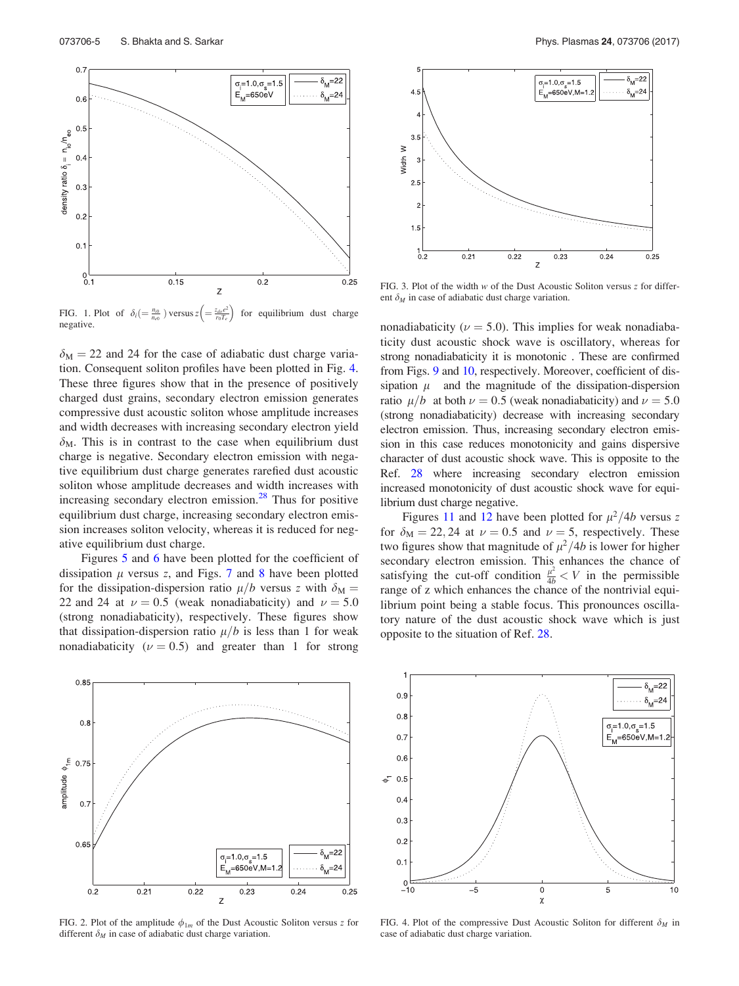

FIG. 1. Plot of  $\delta_i \left( = \frac{n_{i0}}{n_{e0}} \right)$  versus  $z \left( = \frac{z_{do}e^2}{r_0T_e}\right)$  for equilibrium dust charge negative.

 $\delta_{\rm M} = 22$  and 24 for the case of adiabatic dust charge variation. Consequent soliton profiles have been plotted in Fig. 4. These three figures show that in the presence of positively charged dust grains, secondary electron emission generates compressive dust acoustic soliton whose amplitude increases and width decreases with increasing secondary electron yield  $\delta_{\rm M}$ . This is in contrast to the case when equilibrium dust charge is negative. Secondary electron emission with negative equilibrium dust charge generates rarefied dust acoustic soliton whose amplitude decreases and width increases with increasing secondary electron emission.<sup>28</sup> Thus for positive equilibrium dust charge, increasing secondary electron emission increases soliton velocity, whereas it is reduced for negative equilibrium dust charge.

Figures 5 and 6 have been plotted for the coefficient of dissipation  $\mu$  versus z, and Figs. 7 and 8 have been plotted for the dissipation-dispersion ratio  $\mu/b$  versus z with  $\delta_{\rm M} =$ 22 and 24 at  $\nu = 0.5$  (weak nonadiabaticity) and  $\nu = 5.0$ (strong nonadiabaticity), respectively. These figures show that dissipation-dispersion ratio  $\mu/b$  is less than 1 for weak nonadiabaticity ( $\nu = 0.5$ ) and greater than 1 for strong



FIG. 2. Plot of the amplitude  $\phi_{1m}$  of the Dust Acoustic Soliton versus z for different  $\delta_M$  in case of adiabatic dust charge variation.



FIG. 3. Plot of the width  $w$  of the Dust Acoustic Soliton versus  $z$  for different  $\delta_M$  in case of adiabatic dust charge variation.

nonadiabaticity ( $\nu = 5.0$ ). This implies for weak nonadiabaticity dust acoustic shock wave is oscillatory, whereas for strong nonadiabaticity it is monotonic . These are confirmed from Figs. 9 and 10, respectively. Moreover, coefficient of dissipation  $\mu$  and the magnitude of the dissipation-dispersion ratio  $\mu/b$  at both  $\nu = 0.5$  (weak nonadiabaticity) and  $\nu = 5.0$ (strong nonadiabaticity) decrease with increasing secondary electron emission. Thus, increasing secondary electron emission in this case reduces monotonicity and gains dispersive character of dust acoustic shock wave. This is opposite to the Ref. 28 where increasing secondary electron emission increased monotonicity of dust acoustic shock wave for equilibrium dust charge negative.

Figures 11 and 12 have been plotted for  $\mu^2/4b$  versus z for  $\delta_M = 22, 24$  at  $\nu = 0.5$  and  $\nu = 5$ , respectively. These two figures show that magnitude of  $\mu^2/4b$  is lower for higher secondary electron emission. This enhances the chance of satisfying the cut-off condition  $\frac{\mu^2}{4b} < V$  in the permissible range of z which enhances the chance of the nontrivial equilibrium point being a stable focus. This pronounces oscillatory nature of the dust acoustic shock wave which is just opposite to the situation of Ref. 28.



FIG. 4. Plot of the compressive Dust Acoustic Soliton for different  $\delta_M$  in case of adiabatic dust charge variation.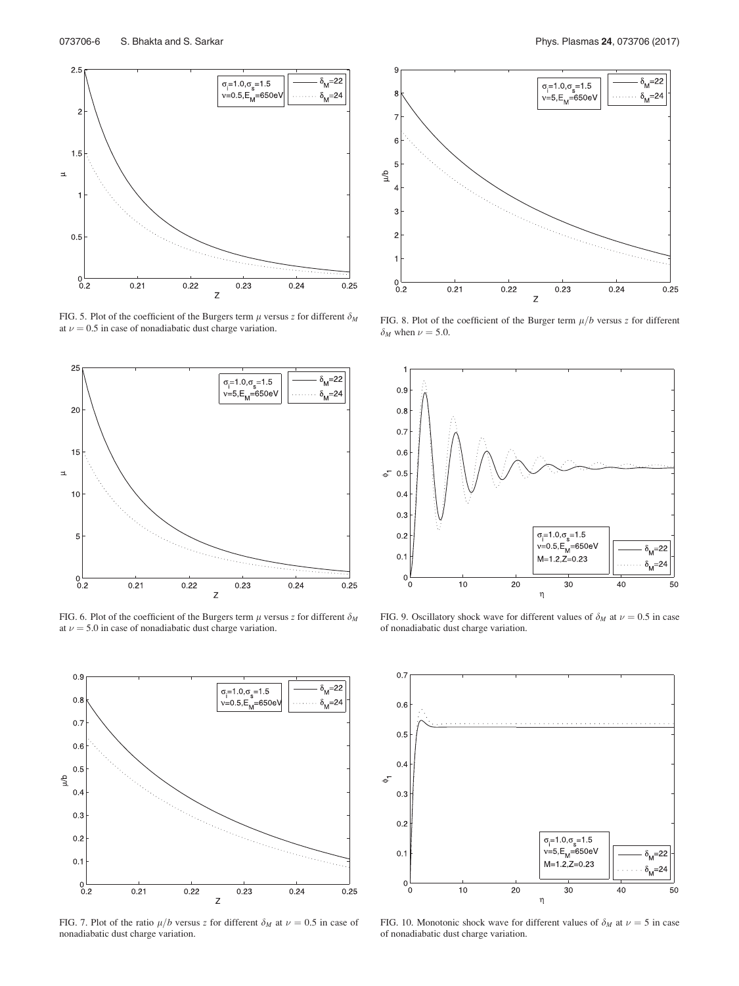

FIG. 5. Plot of the coefficient of the Burgers term  $\mu$  versus z for different  $\delta_M$ at  $\nu = 0.5$  in case of nonadiabatic dust charge variation.



FIG. 6. Plot of the coefficient of the Burgers term  $\mu$  versus z for different  $\delta_M$ at  $\nu = 5.0$  in case of nonadiabatic dust charge variation.



FIG. 7. Plot of the ratio  $\mu/b$  versus z for different  $\delta_M$  at  $\nu = 0.5$  in case of nonadiabatic dust charge variation.



FIG. 8. Plot of the coefficient of the Burger term  $\mu/b$  versus z for different  $\delta_M$  when  $\nu = 5.0$ .



FIG. 9. Oscillatory shock wave for different values of  $\delta_M$  at  $\nu = 0.5$  in case of nonadiabatic dust charge variation.



FIG. 10. Monotonic shock wave for different values of  $\delta_M$  at  $\nu = 5$  in case of nonadiabatic dust charge variation.